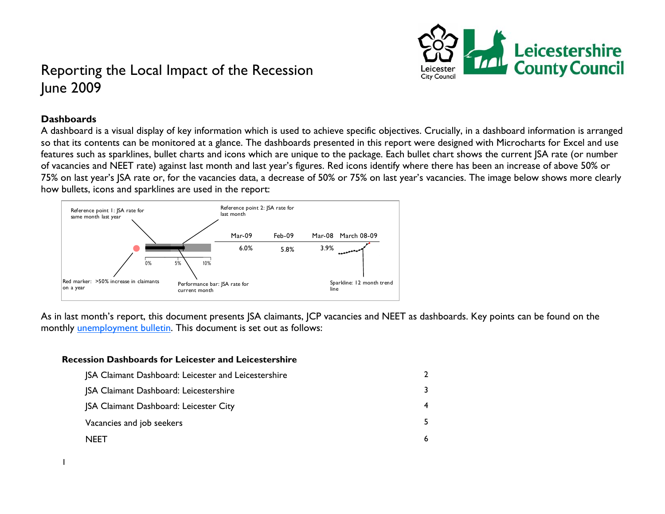

# Reporting the Local Impact of the Recession June 2009

## **Dashboards**

A dashboard is a visual display of key information which is used to achieve specific objectives. Crucially, in a dashboard information is arranged so that its contents can be monitored at a glance. The dashboards presented in this report were designed with Microcharts for Excel and use features such as sparklines, bullet charts and icons which are unique to the package. Each bullet chart shows the current JSA rate (or number of vacancies and NEET rate) against last month and last year's figures. Red icons identify where there has been an increase of above 50% or 75% on last year's JSA rate or, for the vacancies data, a decrease of 50% or 75% on last year's vacancies. The image below shows more clearly how bullets, icons and sparklines are used in the report:



As in last month's report, this document presents JSA claimants, JCP vacancies and NEET as dashboards. Key points can be found on the monthly unemployment bulletin. This document is set out as follows:

| Recession Dashboards for Leicester and Leicestershire |                                                      |               |  |  |  |  |  |
|-------------------------------------------------------|------------------------------------------------------|---------------|--|--|--|--|--|
|                                                       | JSA Claimant Dashboard: Leicester and Leicestershire | $\mathcal{P}$ |  |  |  |  |  |
|                                                       | JSA Claimant Dashboard: Leicestershire               |               |  |  |  |  |  |
|                                                       | JSA Claimant Dashboard: Leicester City               |               |  |  |  |  |  |
|                                                       | Vacancies and job seekers                            |               |  |  |  |  |  |
|                                                       | <b>NEET</b>                                          |               |  |  |  |  |  |
|                                                       |                                                      |               |  |  |  |  |  |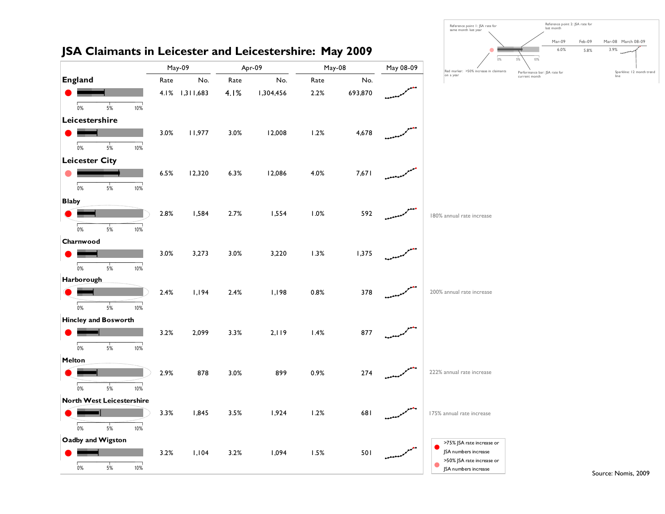

# **JSA Claimants in Leicester and Leicestershire: May 2009**



Source: Nomis, 2009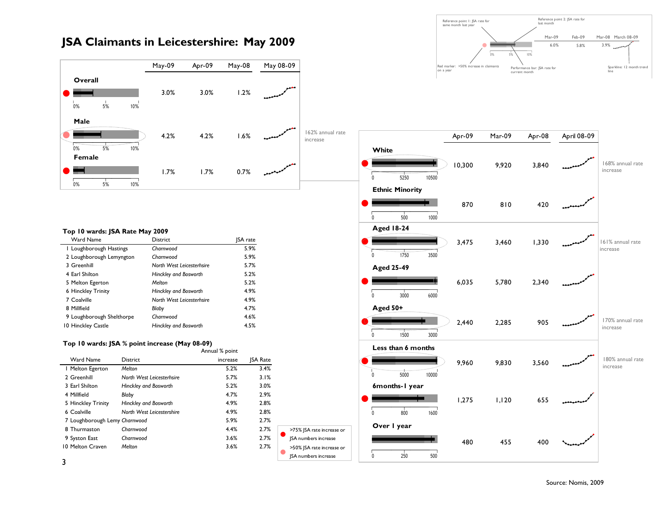

# **JSA Claimants in Leicestershire: May 2009**

## **Top 10 wards: JSA Rate May 2009**

| <b>Ward Name</b>          | <b>District</b>              | <b>ISA</b> rate |
|---------------------------|------------------------------|-----------------|
| I Loughborough Hastings   | Charnwood                    | 5.9%            |
| 2 Loughborough Lemyngton  | Charnwood                    | 5.9%            |
| 3 Greenhill               | North West Leicesterhsire    | 5.7%            |
| 4 Earl Shilton            | Hinckley and Bosworth        | 5.2%            |
| 5 Melton Egerton          | <b>Melton</b>                | 5.2%            |
| 6 Hinckley Trinity        | <b>Hinckley and Bosworth</b> | 4.9%            |
| 7 Coalville               | North West Leicesterhsire    | 4.9%            |
| 8 Millfield               | Blaby                        | 4.7%            |
| 9 Loughborough Shelthorpe | Charnwood                    | 4.6%            |
| 10 Hinckley Castle        | <b>Hinckley and Bosworth</b> | 4.5%            |

#### **Top 10 wards: JSA % point increase (May 08-09)**  Annual % point

| Ward Name                     | District                     | increase | <b>ISA Rate</b> |
|-------------------------------|------------------------------|----------|-----------------|
| I Melton Egerton              | Melton                       | 5.2%     | 3.4%            |
| 2 Greenhill                   | North West Leicesterhsire    | 5.7%     | 3.1%            |
| 3 Earl Shilton                | <b>Hinckley and Bosworth</b> | 5.2%     | 3.0%            |
| 4 Millfield                   | Blaby                        | 4.7%     | 2.9%            |
| 5 Hinckley Trinity            | <b>Hinckley and Bosworth</b> | 4.9%     | 2.8%            |
| 6 Coalville                   | North West Leicestershire    | 4.9%     | 2.8%            |
| 7 Loughborough Lemy Charnwood |                              | 5.9%     | 2.7%            |
| 8 Thurmaston                  | Charnwood                    | 4.4%     | 2.7%            |
| 9 Syston East                 | Charnwood                    | 3.6%     | 2.7%            |
| 10 Melton Craven              | Melton                       | 3.6%     | 2.7%            |
|                               |                              |          |                 |

0

 $\bullet$ 



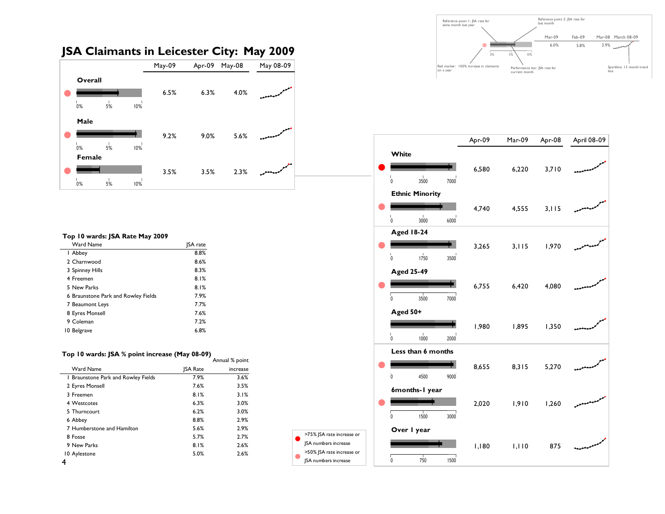

### **Top 10 wards: JSA Rate May 2009**

| <b>Ward Name</b>                    | <b>ISA</b> rate |
|-------------------------------------|-----------------|
| I Abbey                             | 8.8%            |
| 2 Charnwood                         | 8.6%            |
| 3 Spinney Hills                     | 8.3%            |
| 4 Freemen                           | 8.1%            |
| 5 New Parks                         | 8.1%            |
| 6 Braunstone Park and Rowley Fields | 7.9%            |
| 7 Beaumont Leys                     | 7.7%            |
| 8 Eyres Monsell                     | 7.6%            |
| 9 Coleman                           | 7.2%            |
| 10 Belgrave                         | 6.8%            |

## **Top 10 wards: JSA % point increase (May 08-09)**  Annual % point

|                                     |                 | $\lambda$ unique to point |
|-------------------------------------|-----------------|---------------------------|
| Ward Name                           | <b>ISA Rate</b> | increase                  |
| I Braunstone Park and Rowley Fields | 7.9%            | 3.6%                      |
| 2 Eyres Monsell                     | 7.6%            | 3.5%                      |
| 3 Freemen                           | 8.1%            | 3.1%                      |
| 4 Westcotes                         | 6.3%            | 3.0%                      |
| 5 Thurncourt                        | 6.2%            | 3.0%                      |
| 6 Abbey                             | 8.8%            | 2.9%                      |
| 7 Humberstone and Hamilton          | 5.6%            | 2.9%                      |
| 8 Fosse                             | 5.7%            | 2.7%                      |
| 9 New Parks                         | 8.1%            | 2.6%                      |
| 10 Aylestone                        | 5.0%            | 2.6%                      |
|                                     |                 |                           |

 $\bullet$ 

 $\bullet$ 



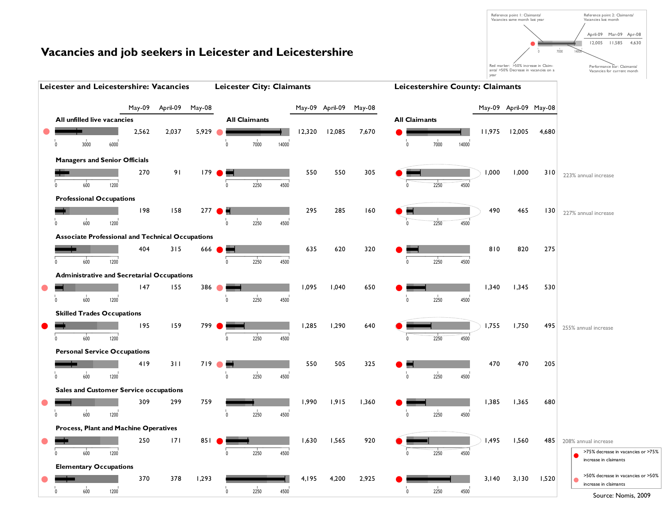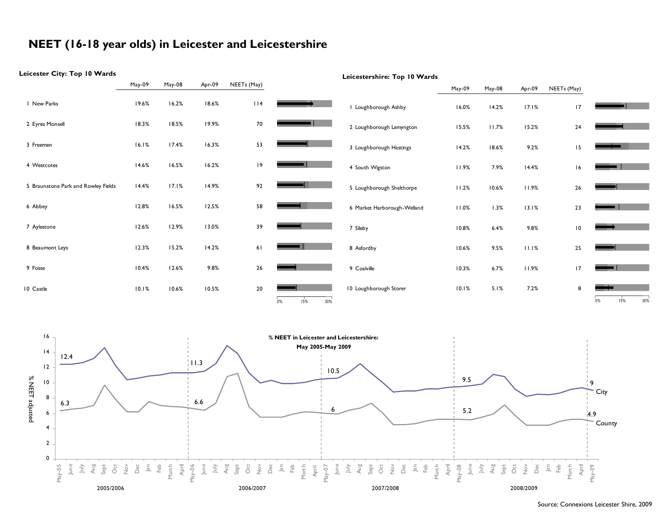# **NEET (16-18 year olds) in Leicester and Leicestershire**

### **Leicester City: Top 10 Wards**

| Leicester City: Top 10 Wards        | Leicestershire: Top 10 Wards |               |        |             |                  |                             |        |        |        |             |                  |
|-------------------------------------|------------------------------|---------------|--------|-------------|------------------|-----------------------------|--------|--------|--------|-------------|------------------|
|                                     | May-09                       | <b>May-08</b> | Apr-09 | NEETs (May) |                  |                             | May-09 | May-08 | Apr-09 | NEETs (May) |                  |
| I New Parks                         | 19.6%                        | 16.2%         | 18.6%  | 114         |                  | I Loughborough Ashby        | 16.0%  | 14.2%  | 17.1%  | 17          |                  |
| 2 Eyres Monsell                     | 18.3%                        | 18.5%         | 19.9%  | 70          |                  | 2 Loughborough Lemyngton    | 15.5%  | 11.7%  | 15.2%  | 24          |                  |
| 3 Freemen                           | 16.1%                        | 17.4%         | 16.3%  | 53          |                  | 3 Loughborough Hastings     | 14.2%  | 18.6%  | 9.2%   | 15          | $\rightarrow$    |
| 4 Westcotes                         | 14.6%                        | 16.5%         | 16.2%  | 9           |                  | 4 South Wigston             | 11.9%  | 7.9%   | 14.4%  | 16          | -                |
| 5 Braunstone Park and Rowley Fields | 14.4%                        | 17.1%         | 14.9%  | 92          |                  | 5 Loughborough Shelthorpe   | 11.2%  | 10.6%  | 11.9%  | 26          |                  |
| 6 Abbey                             | 12.8%                        | 16.5%         | 12.5%  | 58          |                  | 6 Market Harborough-Welland | 11.0%  | 1.3%   | 13.1%  | 23          | - 1              |
| 7 Aylestone                         | 12.6%                        | 12.9%         | 13.0%  | 39          |                  | 7 Sileby                    | 10.8%  | 6.4%   | 9.8%   | 10          |                  |
| 8 Beaumont Leys                     | 12.3%                        | 15.2%         | 14.2%  | 61          |                  | 8 Asfordby                  | 10.6%  | 9.5%   | 11.1%  | 25          |                  |
| 9 Fosse                             | 10.4%                        | 12.6%         | 9.8%   | 26          |                  | 9 Coalville                 | 10.3%  | 6.7%   | 11.9%  | 17          |                  |
| 10 Castle                           | 10.1%                        | 10.6%         | 10.5%  | 20          |                  | 10 Loughborough Storer      | 10.1%  | 5.1%   | 7.2%   | 8           | ₩                |
|                                     |                              |               |        |             | 15%<br>0%<br>30% |                             |        |        |        |             | 15%<br>30%<br>0% |



Source: Connexions Leicester Shire, 2009